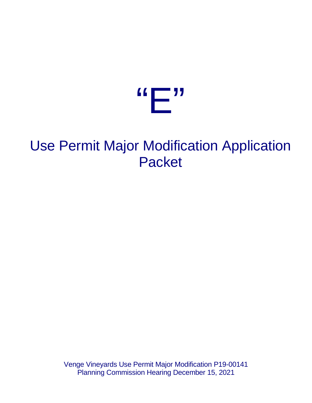

# Use Permit Major Modification Application Packet

Venge Vineyards Use Permit Major Modification P19-00141 Planning Commission Hearing December 15, 2021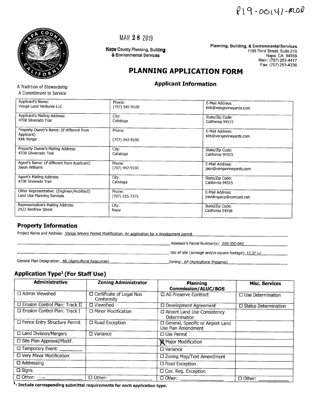



A Tradition of Stewardship A Commitment to Service

MAR 28 2019

Napa County Planning, Building & Environmental Services

Planning, Building, & Environmental Services 1195 Third Street, Suite 210 Napa, CA 94559 Main: (707) 253-4417 Fax: (707) 253-4336

## PLANNING APPLICATION FORM

### **Applicant Information**

| Applicant's Name:                           |                |                          |
|---------------------------------------------|----------------|--------------------------|
|                                             | Phone:         | E-Mail Address:          |
| Venge Land Ventures LLC                     | (707) 942-9100 | kirk@vengevineyards.com  |
|                                             |                |                          |
| Applicant's Mailing Address:                | City:          | State/Zip Code:          |
| 4708 Silverado Trail                        | Calistoga      | California 94515         |
|                                             |                |                          |
| Property Owner's Name: (if different from   | Phone:         | E-Mail Address:          |
| Applicant)                                  |                | kirk@vengevineyards.com  |
| Kirk Venge                                  | (707) 942-9100 |                          |
|                                             |                |                          |
| Property Owner's Mailing Address:           | City:          | State/Zip Code:          |
| 4708 Silveerado Trail                       | Caliatoga      |                          |
|                                             |                | California 94515         |
| Agent's Name: (if different from Applicant) | Phone:         |                          |
| Jason Williams                              |                | E-Mail Address:          |
|                                             | (707) 942-9100 | jaon@vengevineyards.com  |
| Agent's Mailing Address:                    |                |                          |
|                                             | City:          | State/Zip Code:          |
| 4708 Silverado Trail                        | Calistoga      | California 94515         |
|                                             |                |                          |
| Other Representative: (Engineer/Architect)  | Phone:         | E-Mail Address:          |
| Land Use Planning Services                  | (707) 255-7375 | jreddingaicp@comcast.net |
|                                             |                |                          |
| Representative's Mailing Address:           | City:          | State/Zip Code:          |
| 2423 Renfrew Street                         | Napa           | California 94558         |
|                                             |                |                          |
|                                             |                |                          |

### **Property Information**

Project Name and Address: Venge Winery Permit Modification. An application for a development permit

\_ Assessor's Parcel Number(s): 020-350-043

\_\_\_\_\_\_\_\_\_\_\_\_\_\_\_\_\_\_\_\_Zoning: AP (Agricultural Preserve)

 $\equiv$  Site of site (acreage and/or square footage): 12.37 +/-

General Plan Designation: AR (Agricultural Resources)

### **Application Type<sup>1</sup>** (For Staff Use)

| <b>Administrative</b>                    | <b>Zoning Administrator</b>              | Planning<br><b>Commission/ALUC/BOS</b>                    | <b>Misc. Services</b>       |
|------------------------------------------|------------------------------------------|-----------------------------------------------------------|-----------------------------|
| □ Admin Viewshed                         | □ Certificate of Legal Non<br>Conformity | □ AG Preserve Contract                                    | $\Box$ Use Determination    |
| <b>La Erosion Control Plan: Track II</b> | $\Box$ Viewshed                          | <b>Development Agreement</b>                              | $\Box$ Status Determination |
| □ Erosion Control Plan: Track I          | □ Minor Modification                     | □ Airport Land Use Consistency<br>Determination           |                             |
| □ Fence Entry Structure Permit           | $\Box$ Road Exception                    | □ General, Specific or Airport Land<br>Use Plan Amendment |                             |
| □ Land Division/Mergers                  | $\Box$ Variance                          | $\Box$ Use Permit                                         |                             |
| □ Site Plan Approval/Modif.              |                                          | Major Modification                                        |                             |
| □ Temporary Event: _____                 |                                          | $\square$ Variance                                        |                             |
| <b>LI Very Minor Modification</b>        |                                          | □ Zoning Map/Text Amendment                               |                             |
| $\Box$ Addressing                        |                                          | $\Box$ Road Exception                                     |                             |
| $\square$ Signs                          |                                          | D Con. Reg. Exception                                     |                             |
| $\Box$ Other: $\rightarrow$              | $\Box$ Other:                            | $\Box$ Other: ____                                        | $\Box$ Other:               |

<sup>1</sup>: Include corresponding submittal requirements for each application type.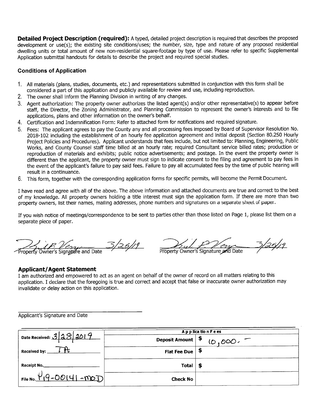**Detailed Project Description (required):** A typed, detailed project description is required that describes the proposed development or use(s); the existing site conditions/uses; the number, size, type and nature of any proposed residential dwelling units or total amount of new non-residential square-footage by type of use. Please refer to specific Supplemental Application submittal handouts for details to describe the project and required special studies.

### **Conditions of Application**

- 1. All materials (plans, studies, documents, etc.) and representations submitted in conjunction with this form shall be considered a part of this application and publicly available for review and use, including reproduction.
- 2. The owner shall inform the Planning Division in writing of any changes.
- 3. Agent authorization: The property owner authorizes the listed agent(s) and/or other representative(s) to appear before staff, the Director, the Zoning Administrator, and Planning Commission to represent the owner's interests and to file applications, plans and other information on the owner's behalf.
- 4. Certification and Indemnification Form: Refer to attached form for notifications and required signature.
- 5. Fees: The applicant agrees to pay the County any and all processing fees imposed by Board of Supervisor Resolution No. 2018-102 including the establishment of an hourly fee application agreement and initial deposit (Section 80.250 Hourly Project Policies and Procedures). Applicant understands that fees include, but not limited to: Planning, Engineering, Public Works, and County Counsel staff time billed at an hourly rate; required Consultant service billed rates; production or reproduction of materials and exhibits; public notice advertisements; and postage. In the event the property owner is different than the applicant, the property owner must sign to indicate consent to the filing and agreement to pay fees in the event of the applicant's failure to pay said fees. Failure to pay all accumulated fees by the time of public hearing will result in a continuance.
- 6. This form, together with the corresponding application forms for specific permits, will become the Permit Document.

I have read and agree with all of the above. The above information and attached documents are true and correct to the best of my knowledge. All property owners holding a title interest must sign the application form. If there are more than two property owners, list their names, mailing addresses, phone numbers and signatures on a separate sheet of paper.

If you wish notice of meetings/correspondence to be sent to parties other than those listed on Page 1, please list them on a separate piece of paper.

3/25/19 Owner's Signature and Date

5/25/19 Property Owner's Signature and Date

### **Applicant/Agent Statement**

I am authorized and empowered to act as an agent on behalf of the owner of record on all matters relating to this application. I declare that the foregoing is true and correct and accept that false or inaccurate owner authorization may invalidate or delay action on this application.

Applicant's Signature and Date

|                              |                      | Application Fees |
|------------------------------|----------------------|------------------|
| Date Received: $3 38 3019$   | Deposit Amount $ \$$ | $10,000 -$       |
| Received by: _               | <b>Flat Fee Due</b>  |                  |
| Receipt No.                  | Total                |                  |
| File No. $1/9 - 00141 - 007$ | <b>Check No</b>      |                  |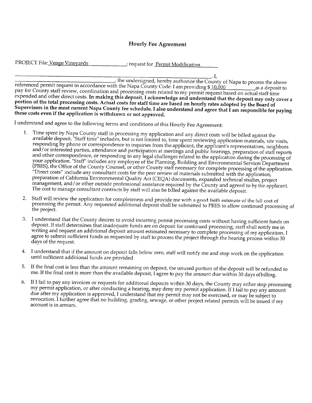### **Hourly Fee Agreement**

| PROJECT File: Venge Vineyards | ; request for Permit Modification |  |
|-------------------------------|-----------------------------------|--|
|-------------------------------|-----------------------------------|--|

\_. I, the undersigned, hereby authorize the County of Napa to process the above referenced permit request in accordance with the Napa County Code. I am providing \$10,000 as a deposit to pay for County staff review, coordination and processing costs related to my permit request based on actual staff time expended and other direct costs. In making this deposit, I acknowledge and understand that the deposit may only cover a portion of the total processing costs. Actual costs for staff time are based on hourly rates adopted by the Board of Supervisors in the most current Napa County fee schedule. I also understand and agree that I am responsible for paying these costs even if the application is withdrawn or not approved.

I understand and agree to the following terms and conditions of this Hourly Fee Agreement:

- Time spent by Napa County staff in processing my application and any direct costs will be billed against the 1. available deposit. "Staff time" includes, but is not limited to, time spent reviewing application materials, site visits, responding by phone or correspondence to inquiries from the applicant, the applicant's representatives, neighbors and/or interested parties, attendance and participation at meetings and public hearings, preparation of staff reports and other correspondence, or responding to any legal challenges related to the application during the processing of your application. "Staff" includes any employee of the Planning, Building and Environmental Services Department (PBES), the Office of the County Counsel, or other County staff necessary for complete processing of the application. "Direct costs" include any consultant costs for the peer review of materials submitted with the application, preparation of California Environmental Quality Act (CEQA) documents, expanded technical studies, project management, and/or other outside professional assistance required by the County and agreed to by the applicant. The cost to manage consultant contracts by staff will also be billed against the available deposit.
- Staff will review the application for completeness and provide me with a good faith estimate of the full cost of 2. processing the permit. Any requested additional deposit shall be submitted to PBES to allow continued processing of the project.
- I understand that the County desires to avoid incurring permit processing costs without having sufficient funds on 3. deposit. If staff determines that inadequate funds are on deposit for continued processing, staff shall notify me in writing and request an additional deposit amount estimated necessary to complete processing of my application. I agree to submit sufficient funds as requested by staff to process the project through the hearing process within 30 days of the request.
- I understand that if the amount on deposit falls below zero, staff will notify me and stop work on the application 4. until sufficient additional funds are provided
- If the final cost is less than the amount remaining on deposit, the unused portion of the deposit will be refunded to 5. me. If the final cost is more than the available deposit, I agree to pay the amount due within 30 days of billing.
- If I fail to pay any invoices or requests for additional deposits within 30 days, the County may either stop processing 6. my permit application, or after conducting a hearing, may deny my permit application. If I fail to pay any amount due after my application is approved, I understand that my permit may not be exercised, or may be subject to revocation. I further agree that no building, grading, sewage, or other project related permits will be issued if my account is in arrears.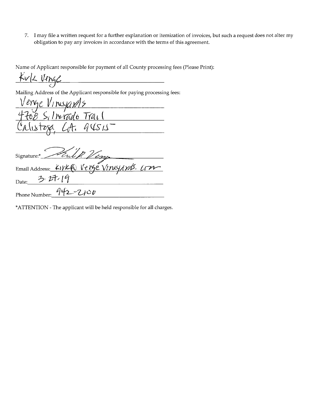7. I may file a written request for a further explanation or itemization of invoices, but such a request does not alter my obligation to pay any invoices in accordance with the terms of this agreement.

Name of Applicant responsible for payment of all County processing fees (Please Print):

Kuk Verge 

Mailing Address of the Applicant responsible for paying processing fees:

erge Vineyar15 ilverado Trail  $94515$ ustoxa

Kulp Ving Signature:\* Email Address: LIVK ( Vergé Vineyards. Cron 3.27.19 Date:  $942 - 2100$ Phone Number:

\*ATTENTION - The applicant will be held responsible for all charges.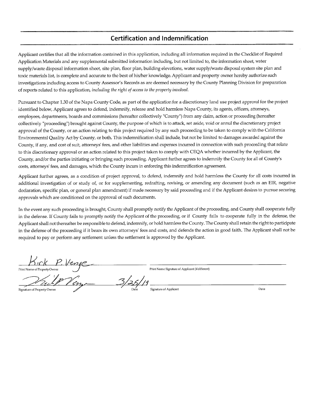### **Certification and Indemnification**

Applicant certifies that all the information contained in this application, including all information required in the Checklist of Required Application Materials and any supplemental submitted information including, but not limited to, the information sheet, water supply/waste disposal information sheet, site plan, floor plan, building elevations, water supply/waste disposal system site plan and toxic materials list, is complete and accurate to the best of his/her knowledge. Applicant and property owner hereby authorize such investigations including access to County Assessor's Records as are deemed necessary by the County Planning Division for preparation of reports related to this application, including the right of access to the property involved.

Pursuant to Chapter 1.30 of the Napa County Code, as part of the application for a discretionary land use project approval for the project identified below, Applicant agrees to defend, indemnify, release and hold harmless Napa County, its agents, officers, attorneys, employees, departments, boards and commissions (hereafter collectively "County") from any claim, action or proceeding (hereafter collectively "proceeding") brought against County, the purpose of which is to attack, set aside, void or annul the discretionary project approval of the County, or an action relating to this project required by any such proceeding to be taken to comply with the California Environmental Quality Act by County, or both. This indemnification shall include, but not be limited to damages awarded against the County, if any, and cost of suit, attorneys' fees, and other liabilities and expenses incurred in connection with such proceeding that relate to this discretionary approval or an action related to this project taken to comply with CEQA whether incurred by the Applicant, the County, and/or the parties initiating or bringing such proceeding. Applicant further agrees to indemnify the County for all of County's costs, attorneys' fees, and damages, which the County incurs in enforcing this indemnification agreement.

Applicant further agrees, as a condition of project approval, to defend, indemnify and hold harmless the County for all costs incurred in additional investigation of or study of, or for supplementing, redrafting, revising, or amending any document (such as an EIR, negative declaration, specific plan, or general plan amendment) if made necessary by said proceeding and if the Applicant desires to pursue securing approvals which are conditioned on the approval of such documents.

In the event any such proceeding is brought, County shall promptly notify the Applicant of the proceeding, and County shall cooperate fully in the defense. If County fails to promptly notify the Applicant of the proceeding, or if County fails to cooperate fully in the defense, the Applicant shall not thereafter be responsible to defend, indemnify, or hold harmless the County. The County shall retain the right to participate in the defense of the proceeding if it bears its own attorneys' fees and costs, and defends the action in good faith. The Applicant shall not be required to pay or perform any settlement unless the settlement is approved by the Applicant.

Print Name of Property Owner

Print Name Signature of Applicant (if different)

Signature of Property Owner

Signature of Applicant

Date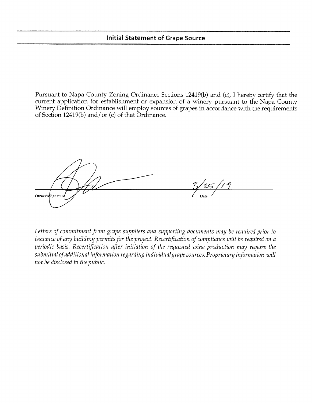### **Initial Statement of Grape Source**

Pursuant to Napa County Zoning Ordinance Sections 12419(b) and (c), I hereby certify that the current application for establishment or expansion of a winery pursuant to the Napa County Winery Definition Ordinance will employ sources of grapes in accordance with the requirements of Section 12419(b) and/or (c) of that Ordinance.

Owner's Signatus

Letters of commitment from grape suppliers and supporting documents may be required prior to issuance of any building permits for the project. Recertification of compliance will be required on a periodic basis. Recertification after initiation of the requested wine production may require the submittal of additional information regarding individual grape sources. Proprietary information will not be disclosed to the public.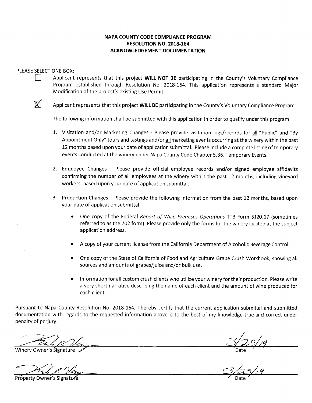### NAPA COUNTY CODE COMPLIANCE PROGRAM RESOLUTION NO. 2018-164 **ACKNOWLEDGEMENT DOCUMENTATION**

### PLEASE SELECT ONE BOX:

- Applicant represents that this project WILL NOT BE participating in the County's Voluntary Compliance Program established through Resolution No. 2018-164. This application represents a standard Major Modification of the project's existing Use Permit.
- M

Applicant represents that this project WILL BE participating in the County's Voluntary Compliance Program.

The following information shall be submitted with this application in order to qualify under this program:

- 1. Visitation and/or Marketing Changes Please provide visitation logs/records for all "Public" and "By Appointment Only" tours and tastings and/or all marketing events occurring at the winery within the past 12 months based upon your date of application submittal. Please include a complete listing of temporary events conducted at the winery under Napa County Code Chapter 5.36, Temporary Events.
- 2. Employee Changes Please provide official employee records and/or signed employee affidavits confirming the number of all employees at the winery within the past 12 months, including vineyard workers, based upon your date of application submittal.
- 3. Production Changes Please provide the following information from the past 12 months, based upon your date of application submittal:
	- One copy of the Federal Report of Wine Premises Operations TTB Form 5120.17 (sometimes referred to as the 702 form). Please provide only the forms for the winery located at the subject application address.
	- A copy of your current license from the California Department of Alcoholic Beverage Control.
	- One copy of the State of California of Food and Agriculture Grape Crush Workbook, showing all sources and amounts of grapes/juice and/or bulk use.
	- Information for all custom crush clients who utilize your winery for their production. Please write a very short narrative describing the name of each client and the amount of wine produced for each client.

Pursuant to Napa County Resolution No. 2018-164, I hereby certify that the current application submittal and submitted documentation with regards to the requested information above is to the best of my knowledge true and correct under penalty of perjury.

Winery Owner's Signatur

Property Owner's Signatur

Date  $\frac{1}{2}$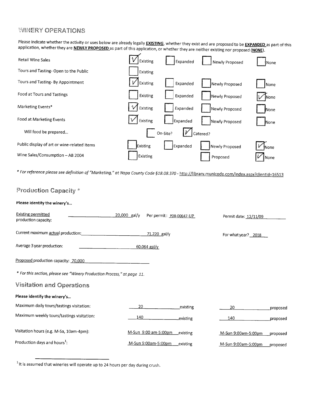### **WINERY OPERATIONS**

Please indicate whether the activity or uses below are already legally **EXISTING**, whether they exist and are proposed to be **EXPANDED** as part of this application, whether they are NEWLY PROPOSED as part of this application, or whether they are neither existing nor proposed (NONE).



For reference please see definition of "Marketing," at Napa County Code §18.08.370 - http://library.municode.com/index.aspx?clientId=16513

| Production Capacity *                                                   |                |                          |           |                       |          |
|-------------------------------------------------------------------------|----------------|--------------------------|-----------|-----------------------|----------|
| Please identify the winery's                                            |                |                          |           |                       |          |
| <b>Existing permitted</b><br>production capacity:                       | $20,000$ gal/y | Per permit: P08-00647-UP |           | Permit date: 12/11/09 |          |
| Current maximum actual production:                                      |                | 71,220 gal/y             |           | For what year? 2018   |          |
| Average 3 year production:                                              |                | $60,064$ gal/y           |           |                       |          |
| Proposed production capacity: 70,000                                    |                |                          |           |                       |          |
| * For this section, please see "Winery Production Process," at page 11. |                |                          |           |                       |          |
| <b>Visitation and Operations</b>                                        |                |                          |           |                       |          |
| Please identify the winery's                                            |                |                          |           |                       |          |
| Maximum daily tours/tastings visitation:                                | 20             |                          | existing  | 20                    | proposed |
| Maximum weekly tours/tastings visitation:                               | 140            |                          | existing. | 140                   | proposed |
| Visitation hours (e.g. M-Sa, 10am-4pm):                                 |                | M-Sun 9:00 am-5:00pm     | existing  | M-Sun 9:00am-5:00pm   | proposed |
| Production days and hours <sup>1</sup> :                                |                | M-Sun 9:00am-5:00pm      | _existing | M-Sun 9:00am-5:00pm   | proposed |

<sup>1</sup> It is assumed that wineries will operate up to 24 hours per day during crush.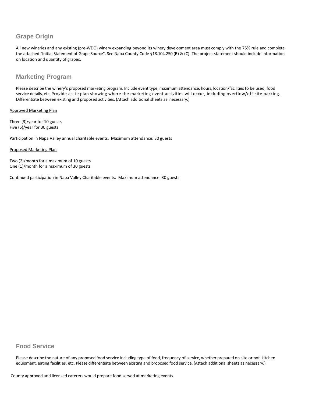### **Grape Origin**

All new wineries and any existing (pre-WDO) winery expanding beyond its winery development area must comply with the 75% rule and complete the attached "Initial Statement of Grape Source". See Napa County Code §18.104.250 (B) & (C). The project statement should include information on location and quantity of grapes.

### **Marketing Program**

Please describe the winery's proposed marketing program. Include event type, maximum attendance, hours, location/facilities to be used, food service details, etc. Provide a site plan showing where the marketing event activities will occur, including overflow/off-site parking. Differentiate between existing and proposed activities. (Attach additional sheets as necessary.)

Approved Marketing Plan

Three (3)/year for 10 guests Five (5)/year for 30 guests

Participation in Napa Valley annual charitable events. Maximum attendance: 30 guests

### Proposed Marketing Plan

Two (2)/month for a maximum of 10 guests One (1)/month for a maximum of 30 guests

Continued participation in Napa Valley Charitable events. Maximum attendance: 30 guests

### **Food Service**

Please describe the nature of any proposed food service including type of food, frequency of service, whether prepared on site or not, kitchen equipment, eating facilities, etc. Please differentiate between existing and proposed food service. (Attach additional sheets as necessary.)

County approved and licensed caterers would prepare food served at marketing events.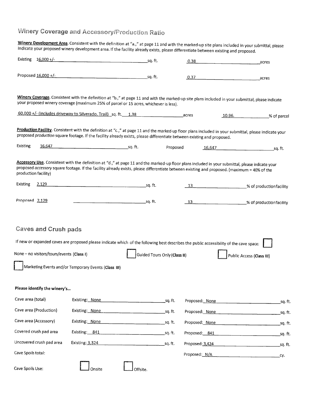# Winery Coverage and Accessory/Production Ratio

Winery Development Area. Consistent with the definition at "a.," at page 11 and with the marked-up site plans included in your submittal, please indicate your proposed winery development area. If the facility already exists, please differentiate between existing and proposed. Existing 16,000 +/- $\overline{\phantom{a}}$  sq. ft.  $0.38$ acres Proposed 16,000 +/sa. ft.  $0.37$ acres

Winery Coverage. Consistent with the definition at "b.," at page 11 and with the marked-up site plans included in your submittal, please indicate your proposed winery coverage (maximum 25% of parcel or 15 acres, whichever is less).

| $60,000 +/-$<br>.<br>(includes driveway to Silverado,<br>Trail)<br>sa. | ാറ<br>، ب | acres | 10.96. | % of parcel |
|------------------------------------------------------------------------|-----------|-------|--------|-------------|
|------------------------------------------------------------------------|-----------|-------|--------|-------------|

Production Facility. Consistent with the definition at "c.," at page 11 and the marked-up floor plans included in your submittal, please indicate your proposed production square footage. If the facility already exists, please differentiate between existing and proposed.

| Existing | 6617<br>. .<br>LU.U | . . | Proposed | $16.64^{-}$<br>-- | -~<br>su. |
|----------|---------------------|-----|----------|-------------------|-----------|
|----------|---------------------|-----|----------|-------------------|-----------|

Accessory Use. Consistent with the definition at "d.," at page 11 and the marked-up floor plans included in your submittal, please indicate your proposed accessory square footage. If the facility already exists, please differentiate between existing and proposed. (maximum = 40% of the production facility)

| Existing       | 2,129 | sa. tt. | _% of productionfacility |
|----------------|-------|---------|--------------------------|
| Proposed 2,129 |       | sa. It. | _% of productionfacility |

### **Caves and Crush pads**

If new or expanded caves are proposed please indicate which of the following best describes the public accessibility of the cave space: None - no visitors/tours/events (Class I) Guided Tours Only (Class II) Public Access (Class III) Marketing Events and/or Temporary Events (Class III)

### Please identify the winery's...

| Cave area (total)        | Existing: None         |          | sq. ft. | Proposed: None  | sa. ft. |
|--------------------------|------------------------|----------|---------|-----------------|---------|
| Cave area (Production)   | Existing: None         |          | sq. ft. | Proposed: None  | sq. ft. |
| Cave area (Accessory)    | Existing: None         |          | sa. ft. | Proposed: None  | sq. ft. |
| Covered crush pad area   | Existing: 841          |          | sq. ft. | Proposed: 841   | sq. ft. |
| Uncovered crush pad area | <b>Existing: 3,324</b> |          | sq.ft.  | Proposed: 3,424 | sa. ft. |
| Cave Spoils total:       |                        |          |         | Proposed: N/A   | CV.     |
| Cave Spoils Use:         | Onsite                 | Offsite. |         |                 |         |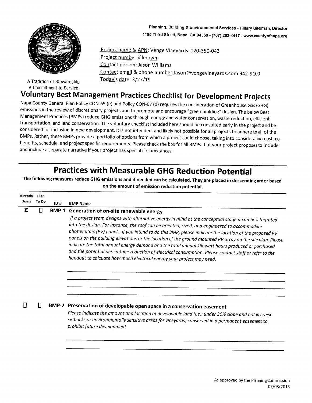Planning, Building & Environmental Services - Hillary Gitelman, Director 1195 Third Street, Napa, CA 94559 - (707) 253-4417 - www.countyofnapa.org



A Tradition of Stewardship A Commitment to Service

Project name & APN: Venge Vineyards 020-350-043 Project number if known: Contact person: Jason Williams Contact email & phone number: Jason@vengevineyards.com 942-9100 Today's date: 3/27/19

# **Voluntary Best Management Practices Checklist for Development Projects**

Napa County General Plan Policy CON-65 (e) and Policy CON-67 (d) requires the consideration of Greenhouse Gas (GHG) emissions in the review of discretionary projects and to promote and encourage "green building" design. The below Best Management Practices (BMPs) reduce GHG emissions through energy and water conservation, waste reduction, efficient transportation, and land conservation. The voluntary checklist included here should be consulted early in the project and be considered for inclusion in new development. It is not intended, and likely not possible for all projects to adhere to all of the BMPs. Rather, these BMPs provide a portfolio of options from which a project could choose, taking into consideration cost, cobenefits, schedule, and project specific requirements. Please check the box for all BMPs that your project proposes to include and include a separate narrative if your project has special circumstances.

# **Practices with Measurable GHG Reduction Potential**

The following measures reduce GHG emissions and if needed can be calculated. They are placed in descending order based on the amount of emission reduction potential.

| Already | Plan  |     |                                                                                                                                                                                                                                                                                                                                                                                                                                                                                                                                                                                                                                                                                                                         |
|---------|-------|-----|-------------------------------------------------------------------------------------------------------------------------------------------------------------------------------------------------------------------------------------------------------------------------------------------------------------------------------------------------------------------------------------------------------------------------------------------------------------------------------------------------------------------------------------------------------------------------------------------------------------------------------------------------------------------------------------------------------------------------|
| Doing   | To Do | ID# | <b>BMP Name</b>                                                                                                                                                                                                                                                                                                                                                                                                                                                                                                                                                                                                                                                                                                         |
| Ξ       | П     |     | BMP-1 Generation of on-site renewable energy                                                                                                                                                                                                                                                                                                                                                                                                                                                                                                                                                                                                                                                                            |
|         |       |     | If a project team designs with alternative energy in mind at the conceptual stage it can be integrated<br>into the design. For instance, the roof can be oriented, sized, and engineered to accommodate<br>photovoltaic (PV) panels. If you intend to do this BMP, please indicate the location of the proposed PV<br>panels on the building elevations or the location of the ground mounted PV array on the site plan. Please<br>indicate the total annual energy demand and the total annual kilowatt hours produced or purchased<br>and the potential percentage reduction of electrical consumption. Please contact staff or refer to the<br>handout to calcuate how much electrical energy your project may need. |
|         | П     |     | BMP-2 Preservation of developable open space in a conservation easement<br>Please indicate the amount and location of developable land (i.e.: under 30% slope and not in creek<br>setbacks or environmentally sensitive areas for vineyards) conserved in a permanent easement to<br>prohibit future development.                                                                                                                                                                                                                                                                                                                                                                                                       |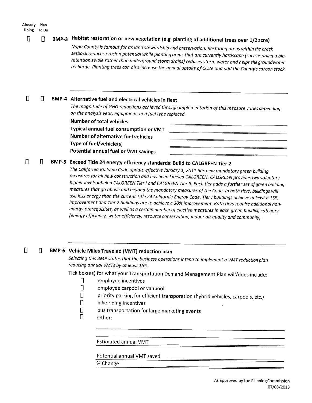#### Already Plan Doing To Do

#### BMP-3 Habitat restoration or new vegetation (e.g. planting of additional trees over 1/2 acre) Ц

Napa County is famous for its land stewardship and preservation. Restoring areas within the creek setback reduces erosion potential while planting areas that are currently hardscape (such as doing a bioretention swale rather than underground storm drains) reduces storm water and helps the groundwater recharge. Planting trees can also increase the annual uptake of CO2e and add the County's carbon stock.

 $\Box$ П BMP-4 Alternative fuel and electrical vehicles in fleet

The magnitude of GHG reductions achieved through implementation of this measure varies depending on the analysis year, equipment, and fuel type replaced.

**Number of total vehicles** Typical annual fuel consumption or VMT Number of alternative fuel vehicles Type of fuel/vehicle(s) Potential annual fuel or VMT savings

#### П П BMP-5 Exceed Title 24 energy efficiency standards: Build to CALGREEN Tier 2

The California Building Code update effective January 1, 2011 has new mandatory green building measures for all new construction and has been labeled CALGREEN. CALGREEN provides two voluntary higher levels labeled CALGREEN Tier I and CALGREEN Tier II. Each tier adds a further set of green building measures that go above and beyond the mandatory measures of the Code. In both tiers, buildings will use less energy than the current Title 24 California Energy Code. Tier I buildings achieve at least a 15% improvement and Tier 2 buildings are to achieve a 30% improvement. Both tiers require additional nonenergy prerequisites, as well as a certain number of elective measures in each green building category (energy efficiency, water efficiency, resource conservation, indoor air quality and community).

#### $\Box$  $\mathsf{\Pi}$ BMP-6 Vehicle Miles Traveled (VMT) reduction plan

Selecting this BMP states that the business operations intend to implement a VMT reduction plan reducing annual VMTs by at least 15%.

Tick box(es) for what your Transportation Demand Management Plan will/does include:

- Л employee incentives
- $\begin{array}{c} \square \end{array}$ employee carpool or vanpool
- $\Box$ priority parking for efficient transporation (hybrid vehicles, carpools, etc.)
- Π bike riding incentives
- $\Box$ bus transportation for large marketing events
- $\Box$ Other:

**Estimated annual VMT** 

Potential annual VMT saved

% Change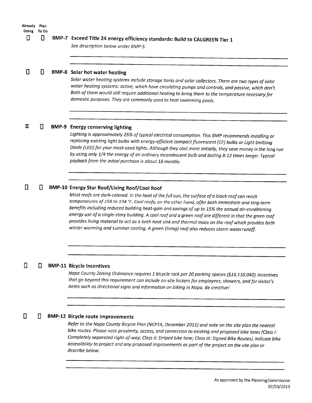| Already Plan<br>Doing<br>▯ | To Do<br>П | BMP-7 Exceed Title 24 energy efficiency standards: Build to CALGREEN Tier 1<br>See description below under BMP-5.                                                                                                                                                                                                                                                                                                                                                                                                                                                                                                                                                                 |
|----------------------------|------------|-----------------------------------------------------------------------------------------------------------------------------------------------------------------------------------------------------------------------------------------------------------------------------------------------------------------------------------------------------------------------------------------------------------------------------------------------------------------------------------------------------------------------------------------------------------------------------------------------------------------------------------------------------------------------------------|
| Н                          | $\Box$     | <b>BMP-8</b> Solar hot water heating<br>Solar water heating systems include storage tanks and solar collectors. There are two types of solar<br>water heating systems: active, which have circulating pumps and controls, and passive, which don't.<br>Both of them would still require additional heating to bring them to the temperature necessary for<br>domestic purposes. They are commonly used to heat swimming pools.                                                                                                                                                                                                                                                    |
| Ξ                          | Π          | <b>BMP-9</b> Energy conserving lighting<br>Lighting is approximately 25% of typical electrical consumption. This BMP recommends installing or<br>replacing existing light bulbs with energy-efficient compact fluorescent (CF) bulbs or Light Emitting<br>Diode (LED) for your most-used lights. Although they cost more initially, they save money in the long run<br>by using only 1/4 the energy of an ordinary incandescent bulb and lasting 8-12 times longer. Typical<br>payback from the initial purchase is about 18 months.                                                                                                                                              |
|                            | П          | <b>BMP-10 Energy Star Roof/Living Roof/Cool Roof</b><br>Most roofs are dark-colored. In the heat of the full sun, the surface of a black roof can reach<br>temperatures of 158 to 194 °F. Cool roofs, on the other hand, offer both immediate and long-term<br>benefits including reduced building heat-gain and savings of up to 15% the annual air-conditioning<br>energy use of a single-story building. A cool roof and a green roof are different in that the green roof<br>provides living material to act as a both heat sink and thermal mass on the roof which provides both<br>winter warming and summer cooling. A green (living) roof also reduces storm waterrunoff. |
| П                          | П          | <b>BMP-11 Bicycle Incentives</b><br>Napa County Zoning Ordinance requires 1 bicycle rack per 20 parking spaces (§18.110.040). Incentives<br>that go beyond this requirement can include on-site lockers for employees, showers, and for visitor's<br>items such as directional signs and information on biking in Napa. Be creative!                                                                                                                                                                                                                                                                                                                                              |
|                            |            | <b>BMP-12 Bicycle route improvements</b>                                                                                                                                                                                                                                                                                                                                                                                                                                                                                                                                                                                                                                          |

### **BMP-12 Bicycle route improvements**

Refer to the Napa County Bicycle Plan (NCPTA, December 2011) and note on the site plan the nearest bike routes. Please note proximity, access, and connection to existing and proposed bike lanes (Class I: Completely separated right-of-way; Class II: Striped bike lane; Class III: Signed Bike Routes). Indicate bike accessibility to project and any proposed improvements as part of the project on the site plan or describe below.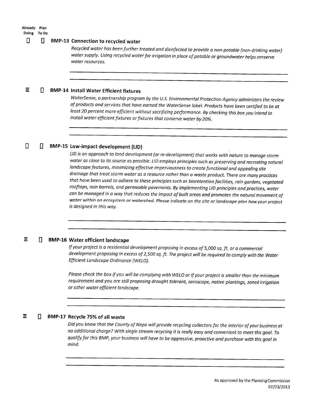### Already Plan Doing To Do

 $\Box$ 

#### П П. **BMP-13 Connection to recycled water**

Recycled water has been further treated and disinfected to provide a non-potable (non-drinking water) water supply. Using recycled water for irrigation in place of potable or groundwater helps conserve water resources.

#### $\Xi$ Л **BMP-14 Install Water Efficient fixtures**

WaterSense, a partnership program by the U.S. Environmental Protection Agency administers the review of products and services that have earned the WaterSense label. Products have been certified to be at least 20 percent more efficient without sacrificing performance. By checking this box you intend to install water efficient fixtures or fixtures that conserve water by 20%.

#### П BMP-15 Low-impact development (LID)

LID is an approach to land development (or re-development) that works with nature to manage storm water as close to its source as possible. LID employs principles such as preserving and recreating natural landscape features, minimizing effective imperviousness to create functional and appealing site drainage that treat storm water as a resource rather than a waste product. There are many practices that have been used to adhere to these principles such as bioretention facilities, rain gardens, vegetated rooftops, rain barrels, and permeable pavements. By implementing LID principles and practices, water can be managed in a way that reduces the impact of built areas and promotes the natural movement of water within an ecosystem or watershed. Please indicate on the site or landscape plan how your project is designed in this way.

#### Ξ D. **BMP-16 Water efficient landscape**

If your project is a residential development proposing in excess of 5,000 sq. ft. or a commercial development proposing in excess of 2,500 sq. ft. The project will be required to comply with the Water Efficient Landscape Ordinance (WELO).

Please check the box if you will be complying with WELO or If your project is smaller than the minimum requirement and you are still proposing drought tolerant, zeroscape, native plantings, zoned irrigation or other water efficient landscape.

#### $\Xi$ П BMP-17 Recycle 75% of all waste

Did you know that the County of Napa will provide recycling collectors for the interior of your business at no additional charge? With single stream recycling it is really easy and convenient to meet this goal. To qualify for this BMP, your business will have to be aggressive, proactive and purchase with this goal in mind.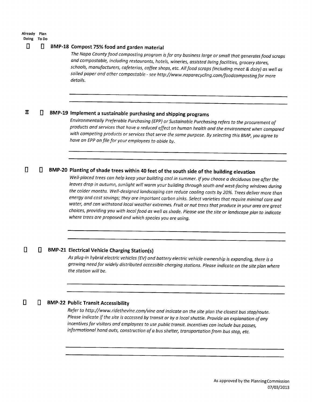### Already Plan Doing To Do

#### Π П. BMP-18 Compost 75% food and garden material

The Napa County food composting program is for any business large or small that generates food scraps and compostable, including restaurants, hotels, wineries, assisted living facilities, grocery stores, schools, manufacturers, cafeterias, coffee shops, etc. All food scraps (including meat & dairy) as well as soiled paper and other compostable - see http://www.naparecycling.com/foodcomposting for more details.

#### Ξ BMP-19 Implement a sustainable purchasing and shipping programs П

Environmentally Preferable Purchasing (EPP) or Sustainable Purchasing refers to the procurement of products and services that have a reduced effect on human health and the environment when compared with competing products or services that serve the same purpose. By selecting this BMP, you agree to have an EPP on file for your employees to abide by.

#### BMP-20 Planting of shade trees within 40 feet of the south side of the building elevation П П.

Well-placed trees can help keep your building cool in summer. If you choose a deciduous tree after the leaves drop in autumn, sunlight will warm your building through south and west-facing windows during the colder months. Well-designed landscaping can reduce cooling costs by 20%. Trees deliver more than energy and cost savings; they are important carbon sinks. Select varieties that require minimal care and water, and can withstand local weather extremes. Fruit or nut trees that produce in your area are great choices, providing you with local food as well as shade. Please use the site or landscape plan to indicate where trees are proposed and which species you are using.

#### $\Box$ П **BMP-21 Electrical Vehicle Charging Station(s)**

As plug-in hybrid electric vehicles (EV) and battery electric vehicle ownership is expanding, there is a growing need for widely distributed accessible charging stations. Please indicate on the site plan where the station will be.

#### $\Box$ П **BMP-22 Public Transit Accessibility**

Refer to http://www.ridethevine.com/vine and indicate on the site plan the closest bus stop/route. Please indicate if the site is accessed by transit or by a local shuttle. Provide an explanation of any incentives for visitors and employees to use public transit. Incentives can include bus passes, informational hand outs, construction of a bus shelter, transportation from bus stop, etc.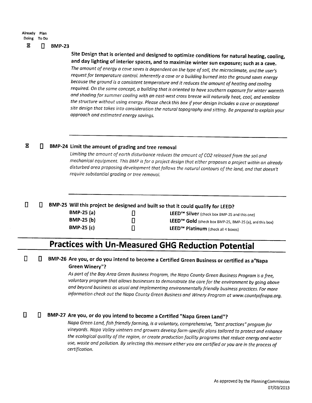| Already Plan<br>Doing To Do |    |               |
|-----------------------------|----|---------------|
| Ξ                           | Π. | <b>BMP-23</b> |

Site Design that is oriented and designed to optimize conditions for natural heating, cooling, and day lighting of interior spaces, and to maximize winter sun exposure; such as a cave.

The amount of energy a cave saves is dependent on the type of soil, the microclimate, and the user's request for temperature control. Inherently a cave or a building burned into the ground saves energy because the ground is a consistent temperature and it reduces the amount of heating and cooling required. On the same concept, a building that is oriented to have southern exposure for winter warmth and shading for summer cooling with an east-west cross breeze will naturally heat, cool, and ventilate the structure without using energy. Please check this box if your design includes a cave or exceptional site design that takes into consideration the natural topography and sitting. Be prepared to explain your approach and estimated energy savings.

#### $\Xi$ BMP-24 Limit the amount of grading and tree removal П.

Limiting the amount of earth disturbance reduces the amount of CO2 released from the soil and mechanical equipment. This BMP is for a project design that either proposes a project within an already disturbed area proposing development that follows the natural contours of the land, and that doesn't require substantial grading or tree removal.

#### $\mathbf{a}$ BMP-25 Will this project be designed and built so that it could qualify for LEED?  $\mathsf{\Pi}$

| $BMP-25(a)$       | О |
|-------------------|---|
| <b>BMP-25 (b)</b> | О |
| <b>BMP-25 (c)</b> | ▯ |

LEED<sup>™</sup> Silver (check box BMP-25 and this one) LEED™ Gold (check box BMP-25, BMP-25 (a), and this box) LEED<sup>™</sup> Platinum (check all 4 boxes)

# **Practices with Un-Measured GHG Reduction Potential**

#### $\Box$ BMP-26 Are you, or do you intend to become a Certified Green Business or certified as a "Napa П. **Green Winery"?**

As part of the Bay Area Green Business Program, the Napa County Green Business Program is a free, voluntary program that allows businesses to demonstrate the care for the environment by going above and beyond business as usual and implementing environmentally friendly business practices. For more information check out the Napa County Green Business and Winery Program at www.countyofnapa.org.

#### $\Box$ 0 BMP-27 Are you, or do you intend to become a Certified "Napa Green Land"?

Napa Green Land, fish friendly farming, is a voluntary, comprehensive, "best practices" program for vineyards. Napa Valley vintners and growers develop farm-specific plans tailored to protect and enhance the ecological quality of the region, or create production facility programs that reduce energy and water use, waste and pollution. By selecting this measure either you are certified or you are in the process of certification.